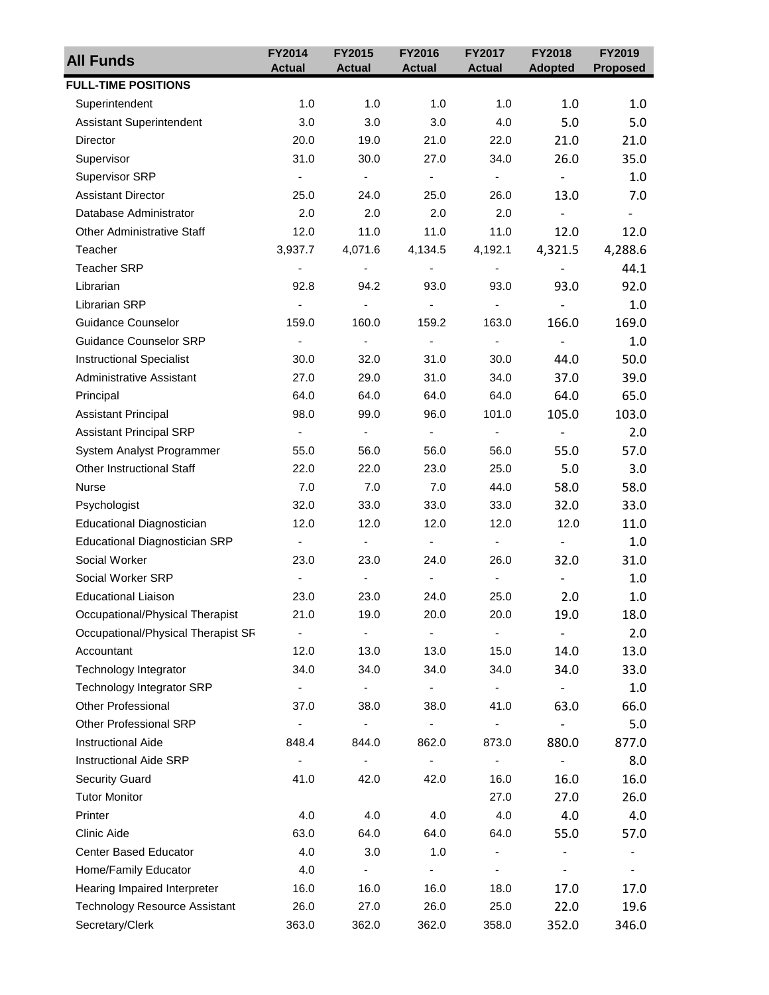| <b>All Funds</b>                     | FY2014                   | FY2015                       | FY2016                       | FY2017                       | FY2018                   | FY2019                   |
|--------------------------------------|--------------------------|------------------------------|------------------------------|------------------------------|--------------------------|--------------------------|
|                                      | <b>Actual</b>            | <b>Actual</b>                | <b>Actual</b>                | <b>Actual</b>                | <b>Adopted</b>           | <b>Proposed</b>          |
| <b>FULL-TIME POSITIONS</b>           |                          |                              |                              |                              |                          |                          |
| Superintendent                       | 1.0                      | 1.0                          | 1.0                          | 1.0                          | 1.0                      | 1.0                      |
| <b>Assistant Superintendent</b>      | 3.0                      | 3.0                          | 3.0                          | 4.0                          | 5.0                      | 5.0                      |
| Director                             | 20.0                     | 19.0                         | 21.0                         | 22.0                         | 21.0                     | 21.0                     |
| Supervisor                           | 31.0                     | 30.0                         | 27.0                         | 34.0                         | 26.0                     | 35.0                     |
| Supervisor SRP                       | $\overline{\phantom{a}}$ | $\sim$                       | $\blacksquare$               | $\blacksquare$               | $\blacksquare$           | 1.0                      |
| <b>Assistant Director</b>            | 25.0                     | 24.0                         | 25.0                         | 26.0                         | 13.0                     | 7.0                      |
| Database Administrator               | 2.0                      | 2.0                          | 2.0                          | 2.0                          | $\qquad \qquad -$        | $\overline{\phantom{a}}$ |
| <b>Other Administrative Staff</b>    | 12.0                     | 11.0                         | 11.0                         | 11.0                         | 12.0                     | 12.0                     |
| Teacher                              | 3,937.7                  | 4,071.6                      | 4,134.5                      | 4,192.1                      | 4,321.5                  | 4,288.6                  |
| <b>Teacher SRP</b>                   | $\blacksquare$           | $\overline{\phantom{a}}$     | $\overline{\phantom{a}}$     | $\overline{\phantom{a}}$     | $\qquad \qquad -$        | 44.1                     |
| Librarian                            | 92.8                     | 94.2                         | 93.0                         | 93.0                         | 93.0                     | 92.0                     |
| Librarian SRP                        |                          | $\qquad \qquad \blacksquare$ | $\overline{\phantom{a}}$     | $\blacksquare$               | $\overline{\phantom{0}}$ | 1.0                      |
| Guidance Counselor                   | 159.0                    | 160.0                        | 159.2                        | 163.0                        | 166.0                    | 169.0                    |
| <b>Guidance Counselor SRP</b>        | $\overline{\phantom{a}}$ | $\blacksquare$               | $\overline{\phantom{a}}$     | $\overline{\phantom{a}}$     | $\overline{\phantom{0}}$ | 1.0                      |
| <b>Instructional Specialist</b>      | 30.0                     | 32.0                         | 31.0                         | 30.0                         | 44.0                     | 50.0                     |
| <b>Administrative Assistant</b>      | 27.0                     | 29.0                         | 31.0                         | 34.0                         | 37.0                     | 39.0                     |
| Principal                            | 64.0                     | 64.0                         | 64.0                         | 64.0                         | 64.0                     | 65.0                     |
| <b>Assistant Principal</b>           | 98.0                     | 99.0                         | 96.0                         | 101.0                        | 105.0                    | 103.0                    |
| <b>Assistant Principal SRP</b>       | $\overline{\phantom{a}}$ | $\blacksquare$               | $\blacksquare$               | $\overline{\phantom{a}}$     | $\overline{\phantom{a}}$ | 2.0                      |
| System Analyst Programmer            | 55.0                     | 56.0                         | 56.0                         | 56.0                         | 55.0                     | 57.0                     |
| <b>Other Instructional Staff</b>     | 22.0                     | 22.0                         | 23.0                         | 25.0                         | 5.0                      | 3.0                      |
| <b>Nurse</b>                         | 7.0                      | 7.0                          | 7.0                          | 44.0                         | 58.0                     | 58.0                     |
| Psychologist                         | 32.0                     | 33.0                         | 33.0                         | 33.0                         | 32.0                     | 33.0                     |
| Educational Diagnostician            | 12.0                     | 12.0                         | 12.0                         | 12.0                         | 12.0                     | 11.0                     |
| <b>Educational Diagnostician SRP</b> | $\overline{\phantom{a}}$ | $\overline{\phantom{a}}$     | $\blacksquare$               | $\overline{\phantom{a}}$     | $\overline{\phantom{a}}$ | 1.0                      |
| Social Worker                        | 23.0                     | 23.0                         | 24.0                         | 26.0                         | 32.0                     | 31.0                     |
| Social Worker SRP                    | $\overline{\phantom{a}}$ | $\blacksquare$               | ä,                           | $\blacksquare$               | $\overline{\phantom{0}}$ | $1.0\,$                  |
| <b>Educational Liaison</b>           | 23.0                     | 23.0                         | 24.0                         | 25.0                         | 2.0                      | 1.0                      |
| Occupational/Physical Therapist      | 21.0                     | 19.0                         | 20.0                         | 20.0                         | 19.0                     | 18.0                     |
| Occupational/Physical Therapist SR   |                          |                              |                              |                              |                          | 2.0                      |
| Accountant                           | 12.0                     | 13.0                         | 13.0                         | 15.0                         | 14.0                     | 13.0                     |
| Technology Integrator                | 34.0                     | 34.0                         | 34.0                         | 34.0                         | 34.0                     | 33.0                     |
| <b>Technology Integrator SRP</b>     |                          | $\qquad \qquad \blacksquare$ | $\overline{\phantom{a}}$     | $\qquad \qquad \blacksquare$ |                          | 1.0                      |
| <b>Other Professional</b>            | 37.0                     | 38.0                         | 38.0                         | 41.0                         | 63.0                     | 66.0                     |
| Other Professional SRP               | -                        | $\qquad \qquad \blacksquare$ | $\overline{\phantom{a}}$     | $\qquad \qquad \blacksquare$ | $\overline{a}$           | 5.0                      |
| <b>Instructional Aide</b>            | 848.4                    | 844.0                        | 862.0                        | 873.0                        | 880.0                    | 877.0                    |
| <b>Instructional Aide SRP</b>        |                          |                              | $\overline{\phantom{0}}$     | $\overline{\phantom{a}}$     | $\overline{\phantom{0}}$ | 8.0                      |
| <b>Security Guard</b>                | 41.0                     | 42.0                         | 42.0                         | 16.0                         | 16.0                     | 16.0                     |
| <b>Tutor Monitor</b>                 |                          |                              |                              | 27.0                         | 27.0                     | 26.0                     |
| Printer                              | 4.0                      | 4.0                          | 4.0                          | 4.0                          | 4.0                      | 4.0                      |
| Clinic Aide                          | 63.0                     | 64.0                         | 64.0                         | 64.0                         | 55.0                     | 57.0                     |
| Center Based Educator                | 4.0                      | 3.0                          | 1.0                          |                              |                          | -                        |
| Home/Family Educator                 | 4.0                      | $\overline{\phantom{a}}$     | $\qquad \qquad \blacksquare$ | $\overline{\phantom{a}}$     |                          | ۰                        |
| Hearing Impaired Interpreter         | 16.0                     | 16.0                         | 16.0                         | 18.0                         | 17.0                     | 17.0                     |
| <b>Technology Resource Assistant</b> | 26.0                     | 27.0                         | 26.0                         | 25.0                         | 22.0                     | 19.6                     |
| Secretary/Clerk                      | 363.0                    | 362.0                        | 362.0                        | 358.0                        | 352.0                    | 346.0                    |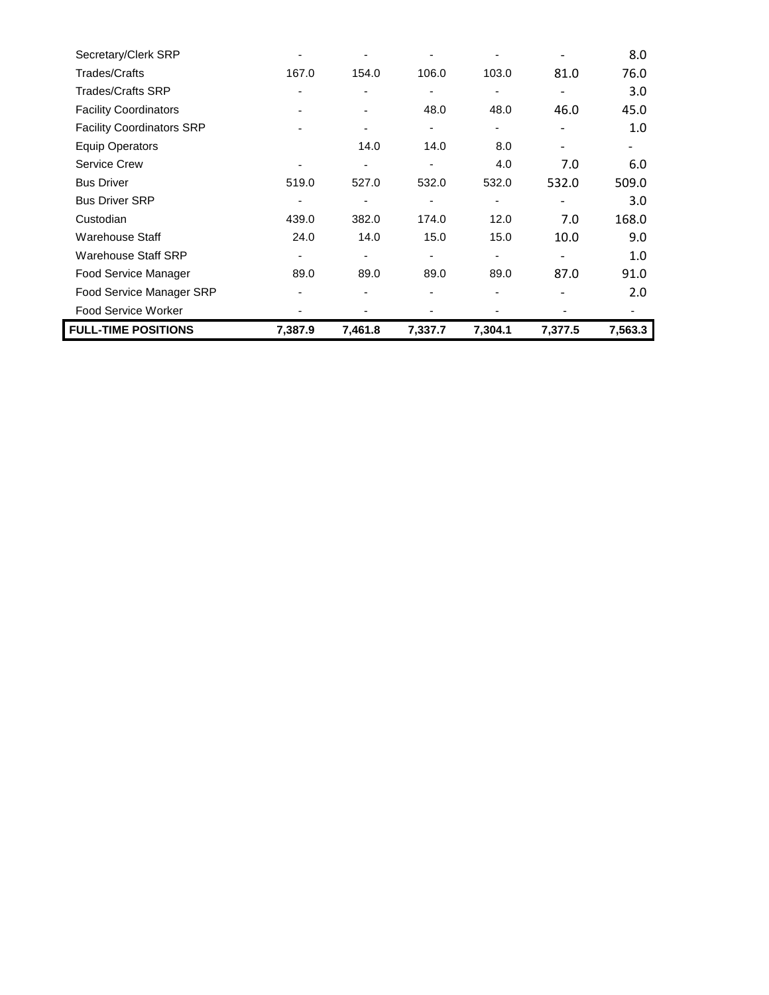| <b>FULL-TIME POSITIONS</b>       | 7,387.9 | 7,461.8 | 7,337.7        | 7,304.1                  | 7,377.5 | 7,563.3 |
|----------------------------------|---------|---------|----------------|--------------------------|---------|---------|
| <b>Food Service Worker</b>       |         |         |                |                          |         |         |
| Food Service Manager SRP         |         |         |                |                          |         | 2.0     |
| Food Service Manager             | 89.0    | 89.0    | 89.0           | 89.0                     | 87.0    | 91.0    |
| <b>Warehouse Staff SRP</b>       |         |         |                | -                        |         | 1.0     |
| Warehouse Staff                  | 24.0    | 14.0    | 15.0           | 15.0                     | 10.0    | 9.0     |
| Custodian                        | 439.0   | 382.0   | 174.0          | 12.0                     | 7.0     | 168.0   |
| <b>Bus Driver SRP</b>            |         |         |                | -                        |         | 3.0     |
| <b>Bus Driver</b>                | 519.0   | 527.0   | 532.0          | 532.0                    | 532.0   | 509.0   |
| <b>Service Crew</b>              |         |         |                | 4.0                      | 7.0     | 6.0     |
| <b>Equip Operators</b>           |         | 14.0    | 14.0           | 8.0                      |         |         |
| <b>Facility Coordinators SRP</b> |         |         | $\overline{a}$ | $\overline{\phantom{a}}$ |         | 1.0     |
| <b>Facility Coordinators</b>     |         |         | 48.0           | 48.0                     | 46.0    | 45.0    |
| <b>Trades/Crafts SRP</b>         |         |         |                | ۰                        |         | 3.0     |
| <b>Trades/Crafts</b>             | 167.0   | 154.0   | 106.0          | 103.0                    | 81.0    | 76.0    |
| Secretary/Clerk SRP              |         |         |                |                          |         | 8.0     |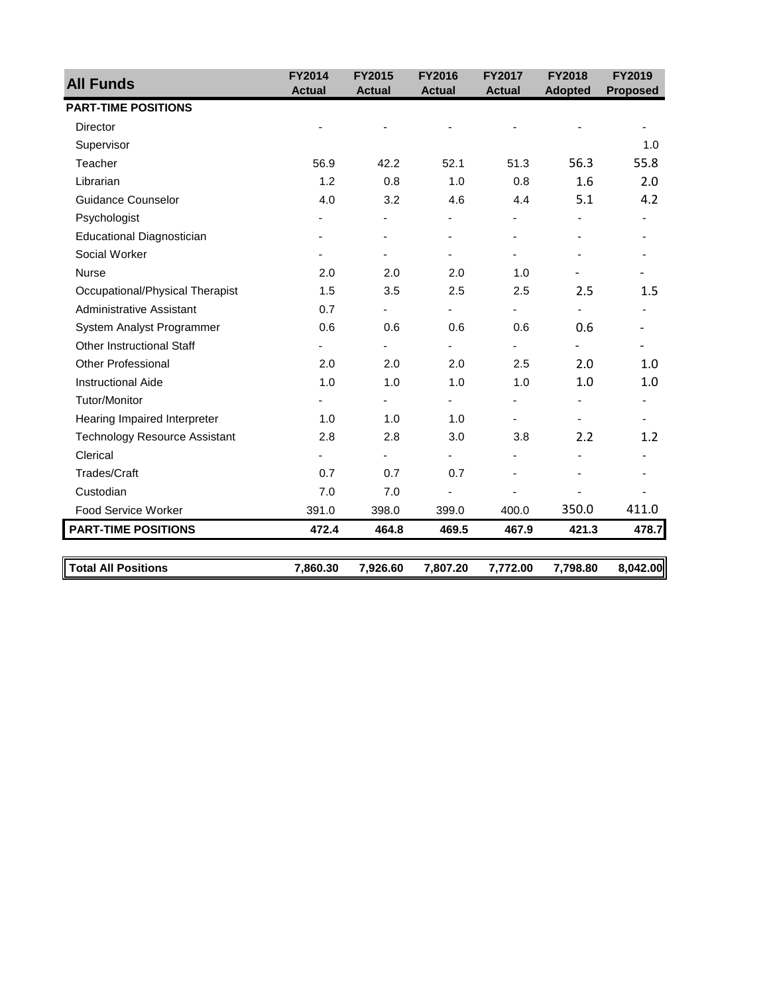| <b>All Funds</b>                     | <b>FY2014</b> | <b>FY2015</b> | <b>FY2016</b> | <b>FY2017</b> | <b>FY2018</b>  | <b>FY2019</b>   |
|--------------------------------------|---------------|---------------|---------------|---------------|----------------|-----------------|
| <b>PART-TIME POSITIONS</b>           | <b>Actual</b> | <b>Actual</b> | <b>Actual</b> | <b>Actual</b> | <b>Adopted</b> | <b>Proposed</b> |
| <b>Director</b>                      |               |               |               |               |                |                 |
| Supervisor                           |               |               |               |               |                | 1.0             |
|                                      |               |               |               |               |                |                 |
| Teacher                              | 56.9          | 42.2          | 52.1          | 51.3          | 56.3           | 55.8            |
| Librarian                            | 1.2           | 0.8           | 1.0           | 0.8           | 1.6            | 2.0             |
| <b>Guidance Counselor</b>            | 4.0           | 3.2           | 4.6           | 4.4           | 5.1            | 4.2             |
| Psychologist                         |               |               |               |               |                |                 |
| Educational Diagnostician            |               |               |               |               |                |                 |
| Social Worker                        |               |               |               |               |                |                 |
| Nurse                                | 2.0           | 2.0           | 2.0           | 1.0           |                |                 |
| Occupational/Physical Therapist      | 1.5           | 3.5           | 2.5           | 2.5           | 2.5            | $1.5\,$         |
| <b>Administrative Assistant</b>      | 0.7           |               |               | ÷,            |                |                 |
| System Analyst Programmer            | 0.6           | 0.6           | 0.6           | 0.6           | 0.6            |                 |
| <b>Other Instructional Staff</b>     |               |               |               |               |                |                 |
| <b>Other Professional</b>            | 2.0           | 2.0           | 2.0           | 2.5           | 2.0            | 1.0             |
| <b>Instructional Aide</b>            | 1.0           | 1.0           | 1.0           | 1.0           | 1.0            | 1.0             |
| Tutor/Monitor                        |               |               |               |               |                |                 |
| Hearing Impaired Interpreter         | 1.0           | 1.0           | 1.0           |               |                |                 |
| <b>Technology Resource Assistant</b> | 2.8           | 2.8           | 3.0           | 3.8           | 2.2            | 1.2             |
| Clerical                             |               |               |               |               |                |                 |
| <b>Trades/Craft</b>                  | 0.7           | 0.7           | 0.7           |               |                |                 |
| Custodian                            | 7.0           | 7.0           |               |               |                |                 |
| <b>Food Service Worker</b>           | 391.0         | 398.0         | 399.0         | 400.0         | 350.0          | 411.0           |
| <b>PART-TIME POSITIONS</b>           | 472.4         | 464.8         | 469.5         | 467.9         | 421.3          | 478.7           |
| <b>Total All Positions</b>           | 7,860.30      | 7,926.60      | 7,807.20      | 7,772.00      | 7,798.80       | 8,042.00        |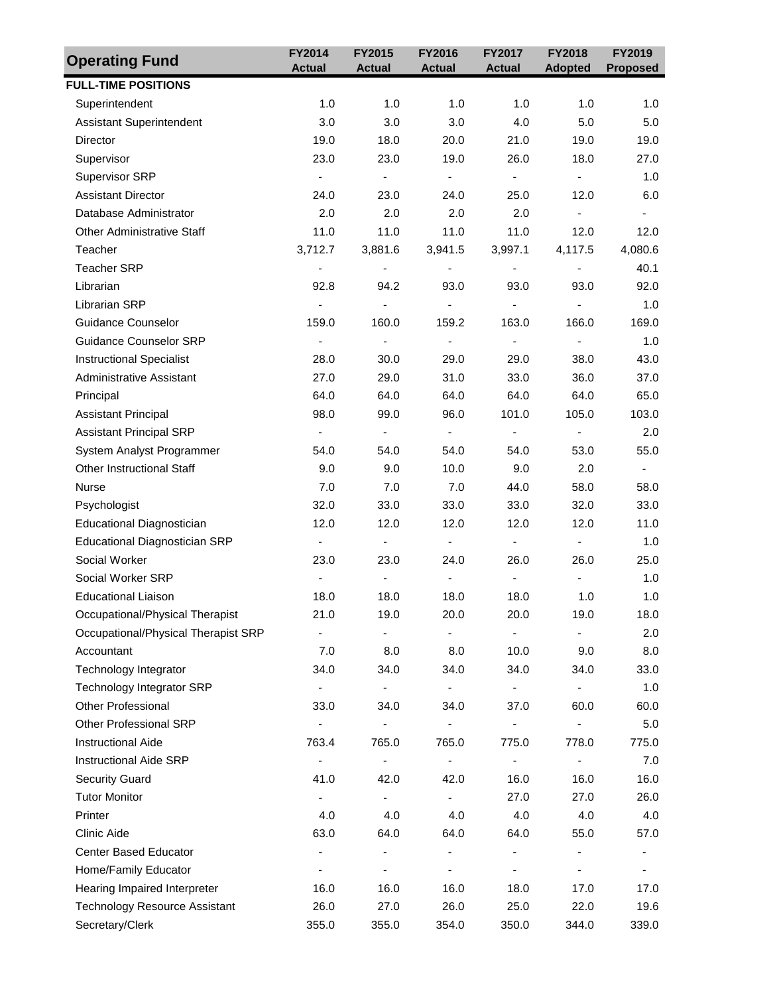| <b>Operating Fund</b>                | FY2014                       | FY2015                       | FY2016                   | FY2017                       | FY2018                   | FY2019                   |
|--------------------------------------|------------------------------|------------------------------|--------------------------|------------------------------|--------------------------|--------------------------|
|                                      | <b>Actual</b>                | <b>Actual</b>                | <b>Actual</b>            | <b>Actual</b>                | <b>Adopted</b>           | <b>Proposed</b>          |
| <b>FULL-TIME POSITIONS</b>           |                              |                              |                          |                              |                          |                          |
| Superintendent                       | 1.0                          | 1.0                          | 1.0                      | 1.0                          | 1.0                      | 1.0                      |
| <b>Assistant Superintendent</b>      | 3.0                          | 3.0                          | 3.0                      | 4.0                          | 5.0                      | 5.0                      |
| Director                             | 19.0                         | 18.0                         | 20.0                     | 21.0                         | 19.0                     | 19.0                     |
| Supervisor                           | 23.0                         | 23.0                         | 19.0                     | 26.0                         | 18.0                     | 27.0                     |
| <b>Supervisor SRP</b>                | $\blacksquare$               | $\overline{\phantom{a}}$     | $\overline{\phantom{a}}$ | $\overline{\phantom{a}}$     | $\overline{\phantom{a}}$ | 1.0                      |
| <b>Assistant Director</b>            | 24.0                         | 23.0                         | 24.0                     | 25.0                         | 12.0                     | 6.0                      |
| Database Administrator               | 2.0                          | 2.0                          | 2.0                      | 2.0                          | $\blacksquare$           | $\overline{\phantom{a}}$ |
| <b>Other Administrative Staff</b>    | 11.0                         | 11.0                         | 11.0                     | 11.0                         | 12.0                     | 12.0                     |
| Teacher                              | 3,712.7                      | 3,881.6                      | 3,941.5                  | 3,997.1                      | 4,117.5                  | 4,080.6                  |
| <b>Teacher SRP</b>                   | $\overline{\phantom{a}}$     | $\overline{\phantom{a}}$     | $\overline{\phantom{a}}$ | $\blacksquare$               | $\overline{\phantom{a}}$ | 40.1                     |
| Librarian                            | 92.8                         | 94.2                         | 93.0                     | 93.0                         | 93.0                     | 92.0                     |
| Librarian SRP                        | $\qquad \qquad \blacksquare$ | $\qquad \qquad \blacksquare$ | $\blacksquare$           | $\qquad \qquad \blacksquare$ | $\overline{\phantom{a}}$ | 1.0                      |
| <b>Guidance Counselor</b>            | 159.0                        | 160.0                        | 159.2                    | 163.0                        | 166.0                    | 169.0                    |
| <b>Guidance Counselor SRP</b>        | $\overline{\phantom{a}}$     | -                            | $\overline{\phantom{a}}$ | $\overline{\phantom{a}}$     | $\blacksquare$           | 1.0                      |
| <b>Instructional Specialist</b>      | 28.0                         | 30.0                         | 29.0                     | 29.0                         | 38.0                     | 43.0                     |
| Administrative Assistant             | 27.0                         | 29.0                         | 31.0                     | 33.0                         | 36.0                     | 37.0                     |
| Principal                            | 64.0                         | 64.0                         | 64.0                     | 64.0                         | 64.0                     | 65.0                     |
| <b>Assistant Principal</b>           | 98.0                         | 99.0                         | 96.0                     | 101.0                        | 105.0                    | 103.0                    |
| <b>Assistant Principal SRP</b>       | $\blacksquare$               | $\overline{\phantom{a}}$     | $\overline{\phantom{a}}$ | $\overline{\phantom{a}}$     | $\overline{\phantom{a}}$ | 2.0                      |
| System Analyst Programmer            | 54.0                         | 54.0                         | 54.0                     | 54.0                         | 53.0                     | 55.0                     |
| <b>Other Instructional Staff</b>     | 9.0                          | 9.0                          | 10.0                     | 9.0                          | 2.0                      | $\overline{\phantom{a}}$ |
| <b>Nurse</b>                         | 7.0                          | 7.0                          | 7.0                      | 44.0                         | 58.0                     | 58.0                     |
| Psychologist                         | 32.0                         | 33.0                         | 33.0                     | 33.0                         | 32.0                     | 33.0                     |
| Educational Diagnostician            | 12.0                         | 12.0                         | 12.0                     | 12.0                         | 12.0                     | 11.0                     |
| <b>Educational Diagnostician SRP</b> | $\blacksquare$               | $\qquad \qquad \blacksquare$ | $\overline{\phantom{a}}$ | $\blacksquare$               | $\blacksquare$           | 1.0                      |
| Social Worker                        | 23.0                         | 23.0                         | 24.0                     | 26.0                         | 26.0                     | 25.0                     |
| Social Worker SRP                    | $\blacksquare$               | $\frac{1}{2}$                | $\blacksquare$           | ÷,                           | $\blacksquare$           | 1.0                      |
| <b>Educational Liaison</b>           | 18.0                         | 18.0                         | 18.0                     | 18.0                         | 1.0                      | 1.0                      |
| Occupational/Physical Therapist      | 21.0                         | 19.0                         | 20.0                     | 20.0                         | 19.0                     | 18.0                     |
| Occupational/Physical Therapist SRP  | $\qquad \qquad \blacksquare$ |                              |                          | -                            |                          | 2.0                      |
| Accountant                           | 7.0                          | 8.0                          | 8.0                      | 10.0                         | 9.0                      | 8.0                      |
| Technology Integrator                | 34.0                         | 34.0                         | 34.0                     | 34.0                         | 34.0                     | 33.0                     |
| <b>Technology Integrator SRP</b>     | ۰                            | $\qquad \qquad \blacksquare$ | $\overline{\phantom{a}}$ | $\overline{\phantom{a}}$     | ۰                        | 1.0                      |
| <b>Other Professional</b>            | 33.0                         | 34.0                         | 34.0                     | 37.0                         | 60.0                     | 60.0                     |
| Other Professional SRP               | $\overline{\phantom{0}}$     | $\qquad \qquad \blacksquare$ |                          |                              |                          | 5.0                      |
| <b>Instructional Aide</b>            | 763.4                        | 765.0                        | 765.0                    | 775.0                        | 778.0                    | 775.0                    |
| <b>Instructional Aide SRP</b>        |                              | $\overline{\phantom{0}}$     | $\overline{\phantom{a}}$ | $\overline{\phantom{0}}$     | $\overline{\phantom{a}}$ | 7.0                      |
| <b>Security Guard</b>                | 41.0                         | 42.0                         | 42.0                     | 16.0                         | 16.0                     | 16.0                     |
| <b>Tutor Monitor</b>                 | ٠                            | $\blacksquare$               | $\overline{\phantom{a}}$ | 27.0                         | 27.0                     | 26.0                     |
| Printer                              | 4.0                          | 4.0                          | 4.0                      | 4.0                          | 4.0                      | 4.0                      |
| Clinic Aide                          | 63.0                         | 64.0                         | 64.0                     | 64.0                         | 55.0                     | 57.0                     |
| <b>Center Based Educator</b>         | $\overline{\phantom{a}}$     | $\overline{\phantom{0}}$     | $\blacksquare$           | $\overline{\phantom{a}}$     | -                        | $\overline{\phantom{a}}$ |
| Home/Family Educator                 | $\overline{\phantom{a}}$     | -                            | ٠                        | $\qquad \qquad \blacksquare$ | $\overline{\phantom{0}}$ | $\overline{\phantom{0}}$ |
| Hearing Impaired Interpreter         | 16.0                         | 16.0                         | 16.0                     | 18.0                         | 17.0                     | 17.0                     |
| <b>Technology Resource Assistant</b> | 26.0                         | 27.0                         | 26.0                     | 25.0                         | 22.0                     | 19.6                     |
| Secretary/Clerk                      | 355.0                        | 355.0                        | 354.0                    | 350.0                        | 344.0                    | 339.0                    |
|                                      |                              |                              |                          |                              |                          |                          |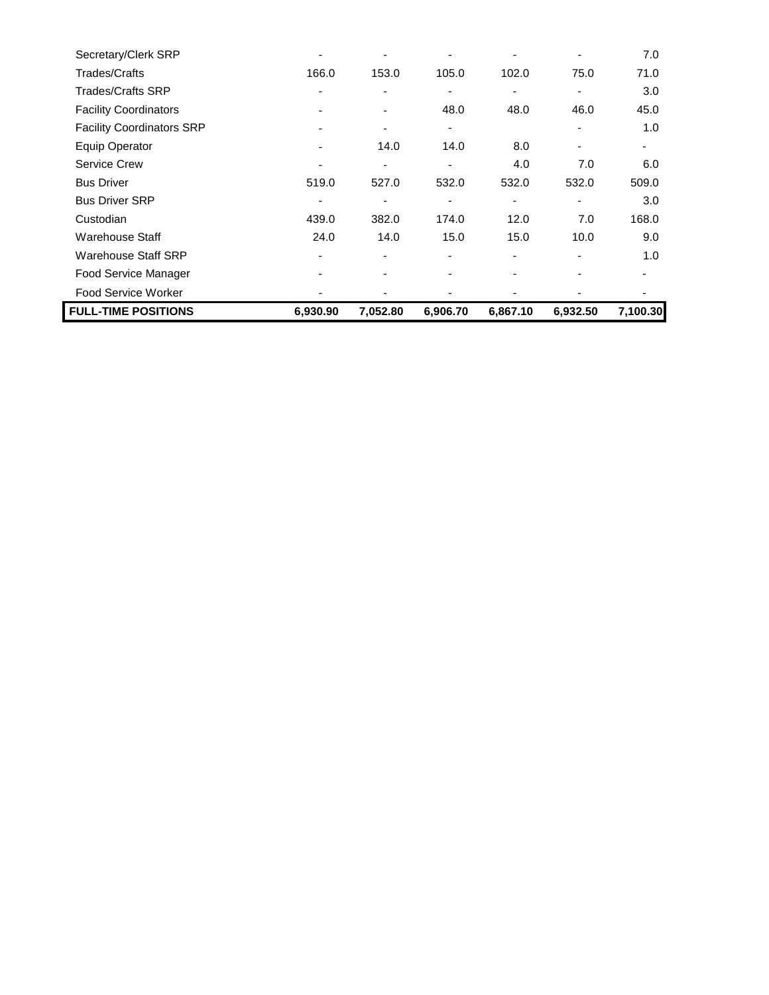| <b>FULL-TIME POSITIONS</b>       | 6,930.90                 | 7,052.80                 | 6,906.70                 | 6,867.10 | 6,932.50                 | 7,100.30 |
|----------------------------------|--------------------------|--------------------------|--------------------------|----------|--------------------------|----------|
| Food Service Worker              |                          |                          |                          |          |                          |          |
| Food Service Manager             |                          |                          |                          |          |                          |          |
| Warehouse Staff SRP              | ۰                        | ۰                        | ٠                        | ٠        | ٠                        | 1.0      |
| Warehouse Staff                  | 24.0                     | 14.0                     | 15.0                     | 15.0     | 10.0                     | 9.0      |
| Custodian                        | 439.0                    | 382.0                    | 174.0                    | 12.0     | 7.0                      | 168.0    |
| <b>Bus Driver SRP</b>            |                          |                          | ٠                        | -        |                          | 3.0      |
| <b>Bus Driver</b>                | 519.0                    | 527.0                    | 532.0                    | 532.0    | 532.0                    | 509.0    |
| <b>Service Crew</b>              |                          |                          |                          | 4.0      | 7.0                      | 6.0      |
| <b>Equip Operator</b>            | ٠                        | 14.0                     | 14.0                     | 8.0      | $\overline{\phantom{a}}$ |          |
| <b>Facility Coordinators SRP</b> |                          |                          | $\overline{\phantom{a}}$ |          |                          | 1.0      |
| <b>Facility Coordinators</b>     | $\overline{\phantom{0}}$ | $\overline{\phantom{0}}$ | 48.0                     | 48.0     | 46.0                     | 45.0     |
| <b>Trades/Crafts SRP</b>         |                          |                          |                          | ٠        |                          | 3.0      |
| <b>Trades/Crafts</b>             | 166.0                    | 153.0                    | 105.0                    | 102.0    | 75.0                     | 71.0     |
| Secretary/Clerk SRP              |                          |                          |                          |          |                          | 7.0      |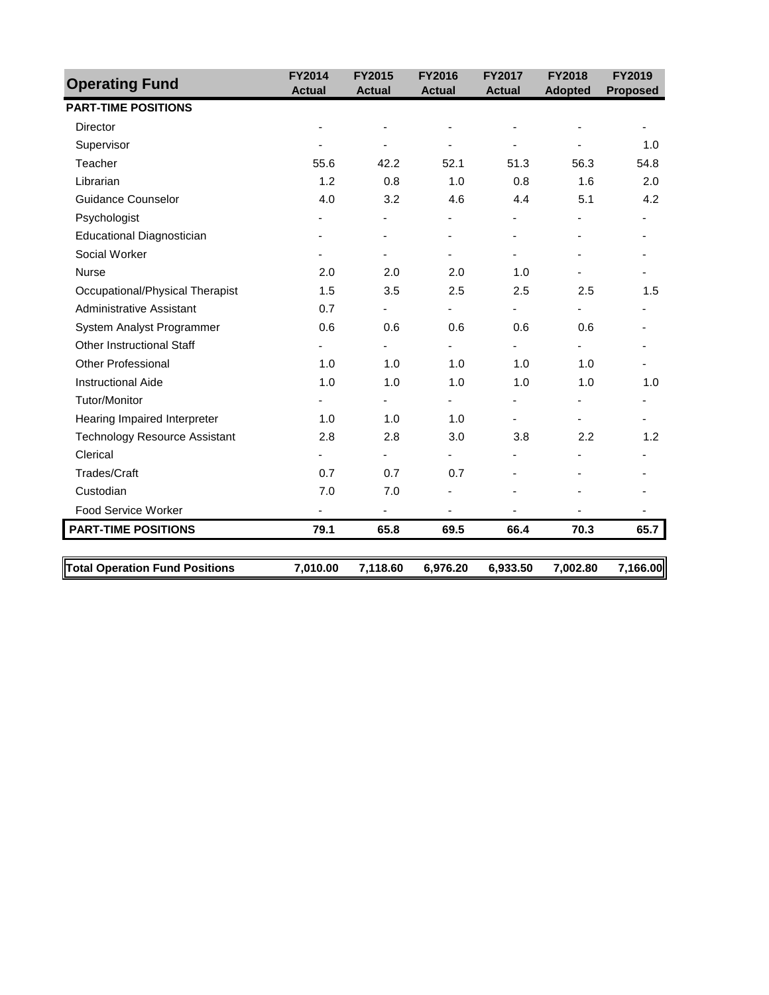| <b>Operating Fund</b>                 | <b>FY2014</b> | <b>FY2015</b>  | <b>FY2016</b> | <b>FY2017</b> | <b>FY2018</b>  | <b>FY2019</b>   |
|---------------------------------------|---------------|----------------|---------------|---------------|----------------|-----------------|
| <b>PART-TIME POSITIONS</b>            | <b>Actual</b> | <b>Actual</b>  | <b>Actual</b> | <b>Actual</b> | <b>Adopted</b> | <b>Proposed</b> |
| <b>Director</b>                       |               |                |               |               |                |                 |
| Supervisor                            |               |                |               |               |                | 1.0             |
| Teacher                               | 55.6          | 42.2           | 52.1          | 51.3          | 56.3           | 54.8            |
| Librarian                             | 1.2           | 0.8            | 1.0           | 0.8           | 1.6            | 2.0             |
| Guidance Counselor                    | 4.0           | 3.2            | 4.6           | 4.4           | 5.1            | 4.2             |
|                                       |               |                |               |               |                |                 |
| Psychologist                          |               |                |               |               |                |                 |
| <b>Educational Diagnostician</b>      |               |                |               |               |                |                 |
| Social Worker                         |               |                |               |               |                |                 |
| <b>Nurse</b>                          | 2.0           | 2.0            | 2.0           | 1.0           |                |                 |
| Occupational/Physical Therapist       | 1.5           | 3.5            | 2.5           | 2.5           | 2.5            | 1.5             |
| <b>Administrative Assistant</b>       | 0.7           | $\blacksquare$ | ٠             | ٠             |                |                 |
| System Analyst Programmer             | 0.6           | 0.6            | 0.6           | 0.6           | 0.6            |                 |
| <b>Other Instructional Staff</b>      |               |                |               |               |                |                 |
| <b>Other Professional</b>             | 1.0           | 1.0            | 1.0           | 1.0           | 1.0            |                 |
| <b>Instructional Aide</b>             | 1.0           | 1.0            | 1.0           | 1.0           | 1.0            | 1.0             |
| Tutor/Monitor                         |               |                |               |               |                |                 |
| Hearing Impaired Interpreter          | 1.0           | 1.0            | 1.0           |               |                |                 |
| <b>Technology Resource Assistant</b>  | 2.8           | 2.8            | 3.0           | 3.8           | 2.2            | 1.2             |
| Clerical                              |               |                |               |               |                |                 |
| <b>Trades/Craft</b>                   | 0.7           | 0.7            | 0.7           |               |                |                 |
| Custodian                             | 7.0           | 7.0            |               |               |                |                 |
| <b>Food Service Worker</b>            |               |                |               |               |                |                 |
| <b>PART-TIME POSITIONS</b>            | 79.1          | 65.8           | 69.5          | 66.4          | 70.3           | 65.7            |
|                                       |               |                |               |               |                |                 |
| <b>Total Operation Fund Positions</b> | 7,010.00      | 7,118.60       | 6,976.20      | 6,933.50      | 7,002.80       | 7,166.00        |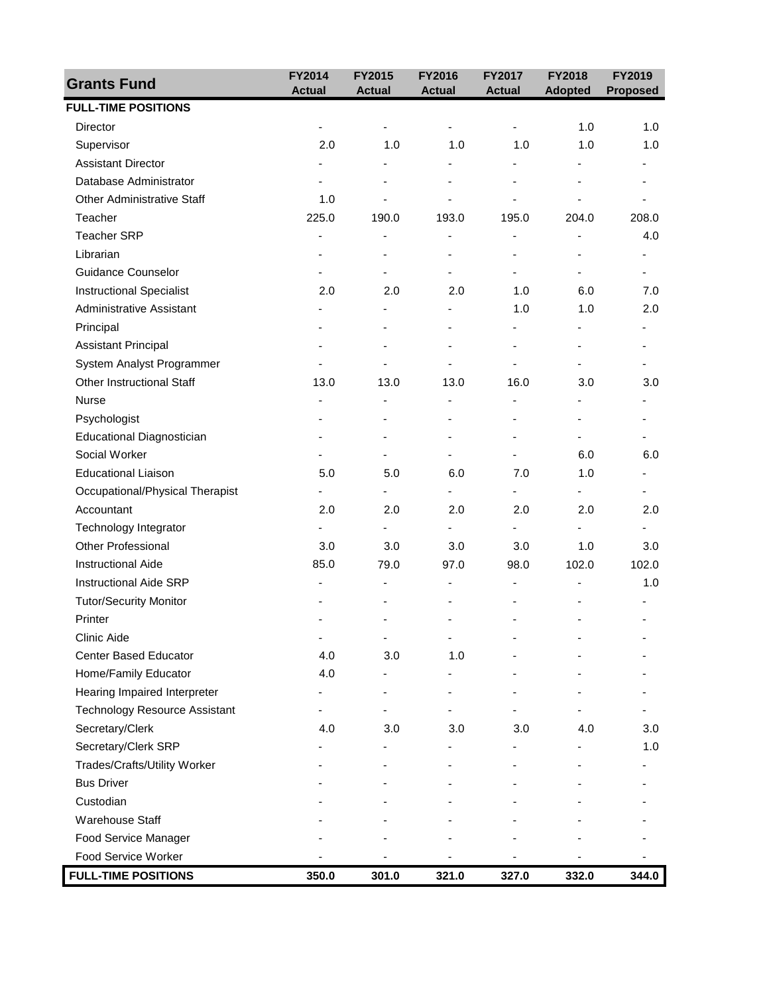| <b>Grants Fund</b>                   | FY2014                   | FY2015                   | FY2016                   | FY2017                   | <b>FY2018</b>            | FY2019          |
|--------------------------------------|--------------------------|--------------------------|--------------------------|--------------------------|--------------------------|-----------------|
| <b>FULL-TIME POSITIONS</b>           | <b>Actual</b>            | <b>Actual</b>            | <b>Actual</b>            | <b>Actual</b>            | <b>Adopted</b>           | <b>Proposed</b> |
| Director                             |                          |                          |                          |                          | 1.0                      | 1.0             |
| Supervisor                           | 2.0                      | 1.0                      | 1.0                      | 1.0                      | 1.0                      | 1.0             |
| <b>Assistant Director</b>            |                          |                          |                          | ٠                        |                          |                 |
| Database Administrator               |                          |                          |                          |                          |                          |                 |
| <b>Other Administrative Staff</b>    | 1.0                      |                          |                          |                          |                          |                 |
| Teacher                              | 225.0                    | 190.0                    | 193.0                    | 195.0                    | 204.0                    | 208.0           |
| <b>Teacher SRP</b>                   | $\overline{a}$           | ٠                        | ÷,                       | ٠                        | ٠                        | 4.0             |
| Librarian                            |                          |                          |                          | $\overline{\phantom{0}}$ |                          |                 |
| <b>Guidance Counselor</b>            |                          |                          |                          | ä,                       |                          |                 |
| <b>Instructional Specialist</b>      | 2.0                      | 2.0                      | 2.0                      | 1.0                      | 6.0                      | 7.0             |
| <b>Administrative Assistant</b>      |                          | $\overline{\phantom{a}}$ | ä,                       | 1.0                      | 1.0                      | 2.0             |
| Principal                            |                          |                          |                          | ۰                        | $\overline{\phantom{0}}$ |                 |
| <b>Assistant Principal</b>           |                          |                          | $\blacksquare$           | $\blacksquare$           |                          |                 |
| System Analyst Programmer            |                          |                          |                          |                          |                          |                 |
| <b>Other Instructional Staff</b>     | 13.0                     | 13.0                     | 13.0                     | 16.0                     | 3.0                      | 3.0             |
| Nurse                                | $\overline{\phantom{a}}$ | $\overline{\phantom{a}}$ | -                        | -                        | -                        |                 |
| Psychologist                         |                          |                          | ä,                       | ٠                        |                          |                 |
| Educational Diagnostician            |                          |                          |                          | ä,                       |                          |                 |
| Social Worker                        |                          |                          | ۰                        | -                        | 6.0                      | 6.0             |
| <b>Educational Liaison</b>           | 5.0                      | 5.0                      | 6.0                      | 7.0                      | 1.0                      | ٠               |
| Occupational/Physical Therapist      |                          |                          | $\overline{\phantom{0}}$ | -                        | -                        |                 |
| Accountant                           | 2.0                      | 2.0                      | 2.0                      | 2.0                      | 2.0                      | 2.0             |
| Technology Integrator                |                          |                          |                          |                          |                          |                 |
| Other Professional                   | 3.0                      | 3.0                      | 3.0                      | 3.0                      | 1.0                      | 3.0             |
| Instructional Aide                   | 85.0                     | 79.0                     | 97.0                     | 98.0                     | 102.0                    | 102.0           |
| <b>Instructional Aide SRP</b>        | ä,                       | $\overline{\phantom{a}}$ | $\overline{\phantom{0}}$ | ٠                        |                          | 1.0             |
| <b>Tutor/Security Monitor</b>        |                          |                          |                          |                          |                          |                 |
| Printer                              |                          |                          |                          |                          |                          |                 |
| Clinic Aide                          | ٠                        | $\blacksquare$           |                          |                          |                          |                 |
| <b>Center Based Educator</b>         | 4.0                      | 3.0                      | 1.0                      |                          |                          |                 |
| Home/Family Educator                 | 4.0                      |                          |                          |                          |                          |                 |
| Hearing Impaired Interpreter         |                          |                          |                          |                          |                          |                 |
| <b>Technology Resource Assistant</b> |                          |                          |                          |                          |                          |                 |
| Secretary/Clerk                      | 4.0                      | 3.0                      | 3.0                      | 3.0                      | 4.0                      | 3.0             |
| Secretary/Clerk SRP                  |                          |                          |                          |                          |                          | 1.0             |
| Trades/Crafts/Utility Worker         |                          |                          |                          |                          |                          |                 |
| <b>Bus Driver</b>                    |                          |                          |                          |                          |                          |                 |
| Custodian                            |                          |                          |                          |                          |                          |                 |
| <b>Warehouse Staff</b>               |                          |                          |                          |                          |                          |                 |
| Food Service Manager                 |                          |                          |                          |                          |                          |                 |
| Food Service Worker                  |                          |                          |                          |                          |                          |                 |
| <b>FULL-TIME POSITIONS</b>           | 350.0                    | 301.0                    | 321.0                    | 327.0                    | 332.0                    | 344.0           |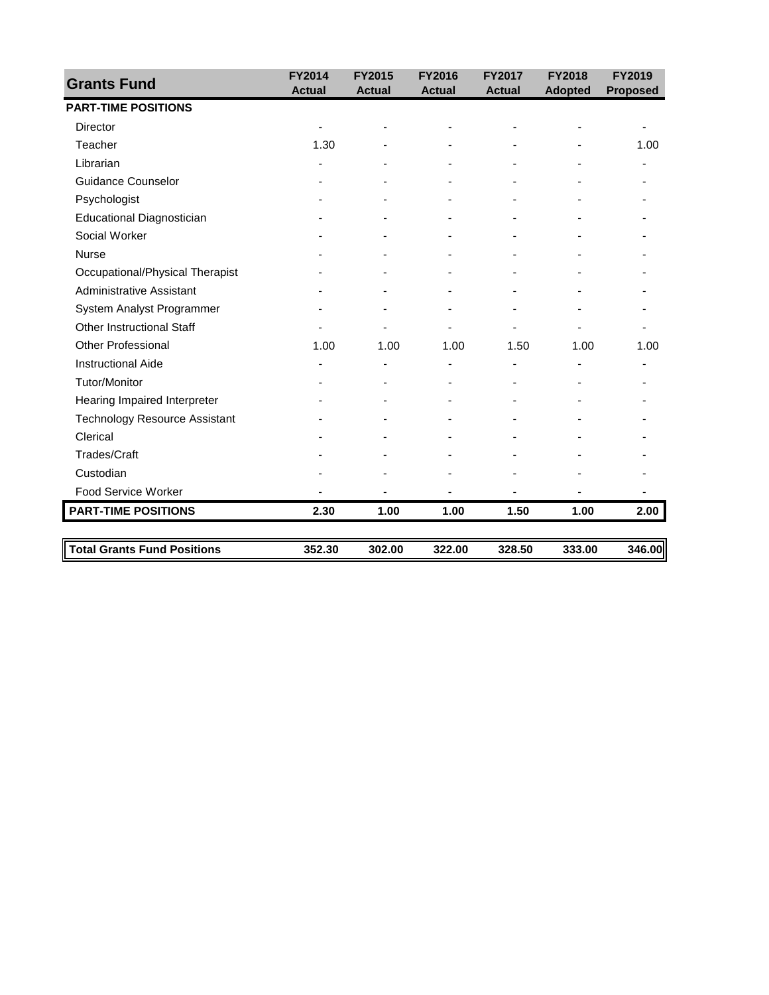| <b>FY2014</b> | <b>FY2015</b>           | <b>FY2016</b>           | <b>FY2017</b>           | <b>FY2018</b>           | <b>FY2019</b><br><b>Proposed</b> |
|---------------|-------------------------|-------------------------|-------------------------|-------------------------|----------------------------------|
|               |                         |                         |                         |                         |                                  |
|               |                         |                         |                         |                         |                                  |
| 1.30          |                         |                         |                         |                         | 1.00                             |
|               |                         |                         |                         |                         |                                  |
|               |                         |                         |                         |                         |                                  |
|               |                         |                         |                         |                         |                                  |
|               |                         |                         |                         |                         |                                  |
|               |                         |                         |                         |                         |                                  |
|               |                         |                         |                         |                         |                                  |
|               |                         |                         |                         |                         |                                  |
|               |                         |                         |                         |                         |                                  |
|               |                         |                         |                         |                         |                                  |
|               |                         |                         |                         |                         |                                  |
| 1.00          | 1.00                    | 1.00                    | 1.50                    | 1.00                    | 1.00                             |
|               |                         |                         |                         |                         |                                  |
|               |                         |                         |                         |                         |                                  |
|               |                         |                         |                         |                         |                                  |
|               |                         |                         |                         |                         |                                  |
|               |                         |                         |                         |                         |                                  |
|               |                         |                         |                         |                         |                                  |
|               |                         |                         |                         |                         |                                  |
|               |                         |                         |                         |                         |                                  |
| 2.30          | 1.00                    | 1.00                    | 1.50                    | 1.00                    | 2.00                             |
|               |                         |                         |                         |                         | 346.00                           |
|               | <b>Actual</b><br>352.30 | <b>Actual</b><br>302.00 | <b>Actual</b><br>322.00 | <b>Actual</b><br>328.50 | <b>Adopted</b><br>333.00         |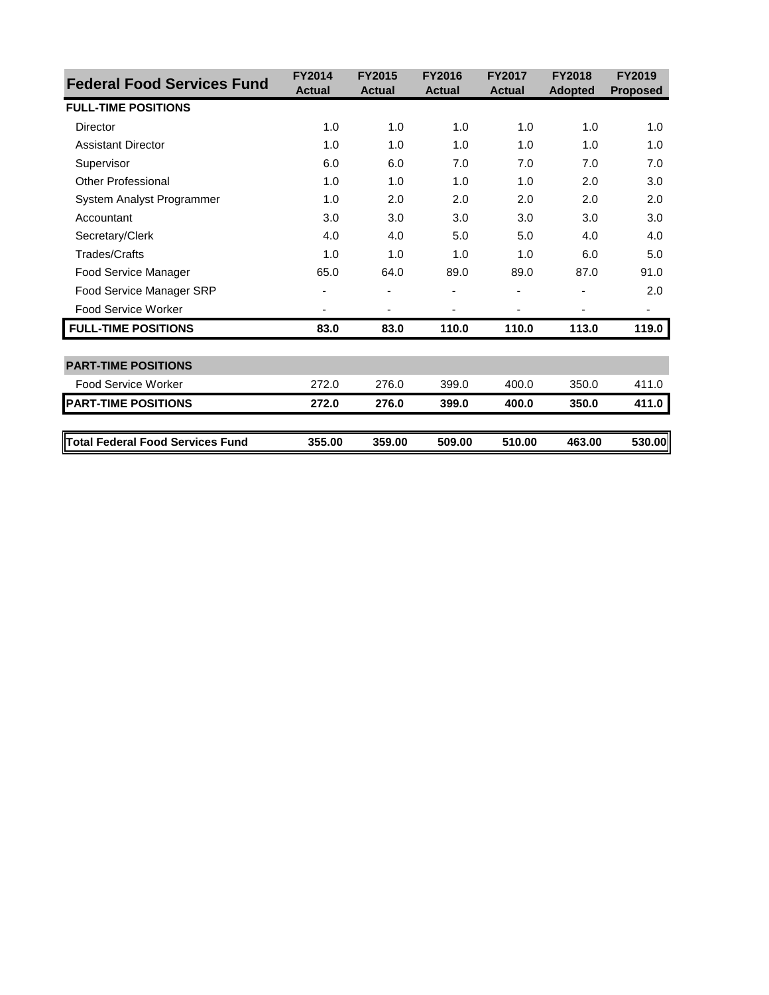| <b>Federal Food Services Fund</b>       | <b>FY2014</b> | <b>FY2015</b>  | <b>FY2016</b> | <b>FY2017</b> | <b>FY2018</b>  | <b>FY2019</b>   |
|-----------------------------------------|---------------|----------------|---------------|---------------|----------------|-----------------|
|                                         | <b>Actual</b> | <b>Actual</b>  | <b>Actual</b> | <b>Actual</b> | <b>Adopted</b> | <b>Proposed</b> |
| <b>FULL-TIME POSITIONS</b>              |               |                |               |               |                |                 |
| Director                                | 1.0           | 1.0            | 1.0           | 1.0           | 1.0            | 1.0             |
| <b>Assistant Director</b>               | 1.0           | 1.0            | 1.0           | 1.0           | 1.0            | 1.0             |
| Supervisor                              | 6.0           | 6.0            | 7.0           | 7.0           | 7.0            | 7.0             |
| Other Professional                      | 1.0           | 1.0            | 1.0           | 1.0           | 2.0            | 3.0             |
| System Analyst Programmer               | 1.0           | 2.0            | 2.0           | 2.0           | 2.0            | 2.0             |
| Accountant                              | 3.0           | 3.0            | 3.0           | 3.0           | 3.0            | 3.0             |
| Secretary/Clerk                         | 4.0           | 4.0            | 5.0           | 5.0           | 4.0            | 4.0             |
| <b>Trades/Crafts</b>                    | 1.0           | 1.0            | 1.0           | 1.0           | 6.0            | 5.0             |
| Food Service Manager                    | 65.0          | 64.0           | 89.0          | 89.0          | 87.0           | 91.0            |
| Food Service Manager SRP                |               |                |               |               |                | 2.0             |
| Food Service Worker                     |               | $\overline{a}$ | -             | -             | -              | ۰               |
| <b>FULL-TIME POSITIONS</b>              | 83.0          | 83.0           | 110.0         | 110.0         | 113.0          | 119.0           |
| <b>PART-TIME POSITIONS</b>              |               |                |               |               |                |                 |
| Food Service Worker                     | 272.0         | 276.0          | 399.0         | 400.0         | 350.0          | 411.0           |
| <b>PART-TIME POSITIONS</b>              | 272.0         | 276.0          | 399.0         | 400.0         | 350.0          | 411.0           |
|                                         |               |                |               |               |                |                 |
| <b>Total Federal Food Services Fund</b> | 355.00        | 359.00         | 509.00        | 510.00        | 463.00         | 530.00          |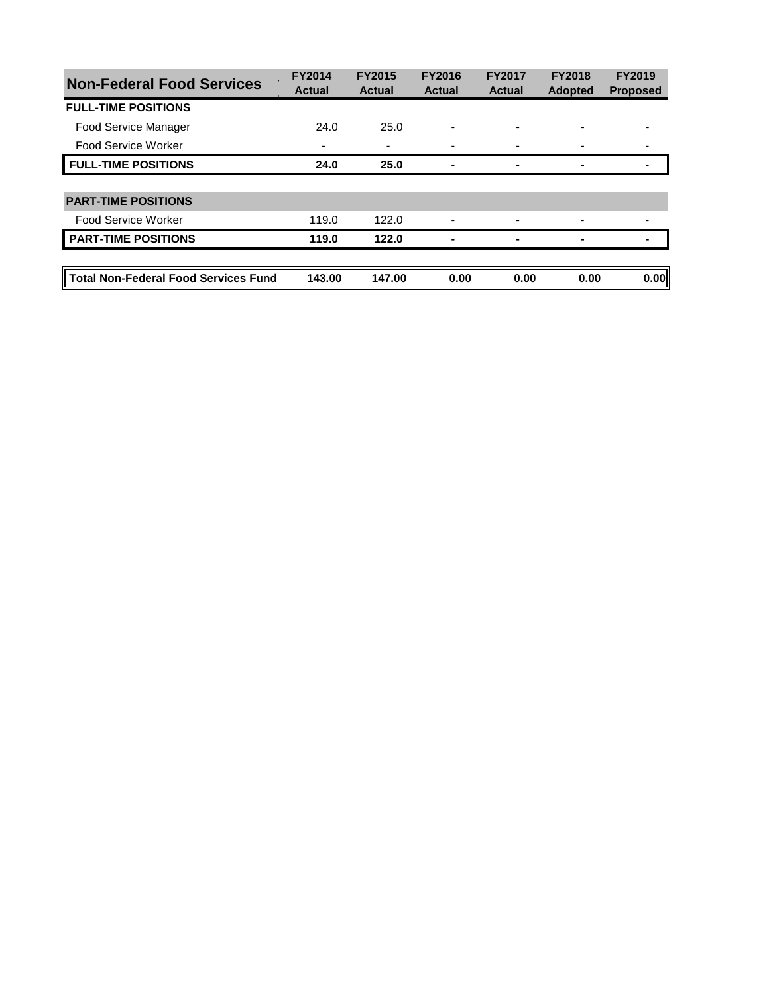| <b>Non-Federal Food Services</b>            | <b>FY2014</b><br><b>Actual</b> | <b>FY2015</b><br><b>Actual</b> | <b>FY2016</b><br><b>Actual</b> | <b>FY2017</b><br><b>Actual</b> | <b>FY2018</b><br><b>Adopted</b> | <b>FY2019</b><br><b>Proposed</b> |
|---------------------------------------------|--------------------------------|--------------------------------|--------------------------------|--------------------------------|---------------------------------|----------------------------------|
| <b>FULL-TIME POSITIONS</b>                  |                                |                                |                                |                                |                                 |                                  |
| <b>Food Service Manager</b>                 | 24.0                           | 25.0                           |                                |                                |                                 |                                  |
| <b>Food Service Worker</b>                  | ۰                              | ۰                              |                                |                                |                                 |                                  |
| <b>FULL-TIME POSITIONS</b>                  | 24.0                           | 25.0                           | -                              | ۰                              |                                 |                                  |
|                                             |                                |                                |                                |                                |                                 |                                  |
| <b>PART-TIME POSITIONS</b>                  |                                |                                |                                |                                |                                 |                                  |
| Food Service Worker                         | 119.0                          | 122.0                          |                                |                                |                                 |                                  |
| <b>PART-TIME POSITIONS</b>                  | 119.0                          | 122.0                          |                                | ۰                              |                                 |                                  |
|                                             |                                |                                |                                |                                |                                 |                                  |
| <b>Total Non-Federal Food Services Fund</b> | 143.00                         | 147.00                         | 0.00                           | 0.00                           | 0.00                            | 0.00                             |